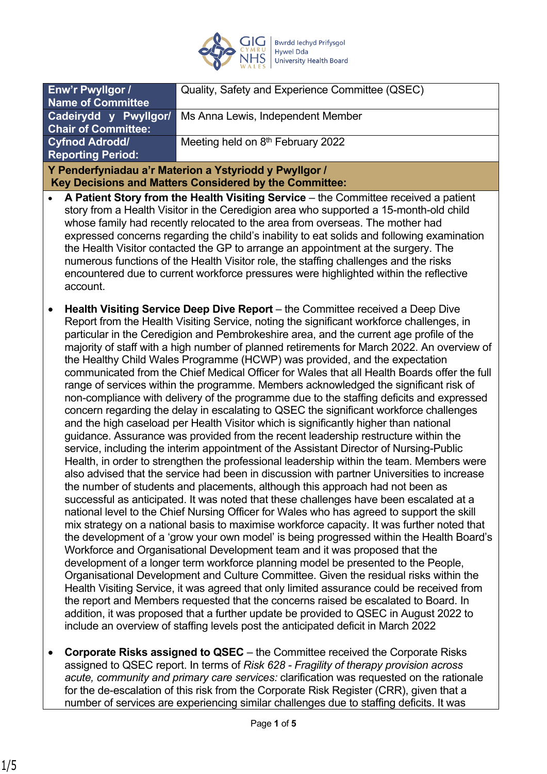

| Enw'r Pwyllgor /                                                                                                                                                               | Quality, Safety and Experience Committee (QSEC) |
|--------------------------------------------------------------------------------------------------------------------------------------------------------------------------------|-------------------------------------------------|
| <b>Name of Committee</b>                                                                                                                                                       |                                                 |
| Cadeirydd y Pwyllgor/                                                                                                                                                          | Ms Anna Lewis, Independent Member               |
| <b>Chair of Committee:</b>                                                                                                                                                     |                                                 |
| <b>Cyfnod Adrodd/</b>                                                                                                                                                          | Meeting held on 8 <sup>th</sup> February 2022   |
| <b>Reporting Period:</b>                                                                                                                                                       |                                                 |
| Y Penderfyniadau a'r Materion a Ystyriodd y Pwyllgor /                                                                                                                         |                                                 |
| Key Decisions and Matters Considered by the Committee:                                                                                                                         |                                                 |
| • A Patient Story from the Health Visiting Service – the Committee received a patient<br>ctory from a Hoalth Vicitor in the Corodigion area who supported a 15 month old obild |                                                 |

- story from a Health Visitor in the Ceredigion area who supported a 15-month-old child whose family had recently relocated to the area from overseas. The mother had expressed concerns regarding the child's inability to eat solids and following examination the Health Visitor contacted the GP to arrange an appointment at the surgery. The numerous functions of the Health Visitor role, the staffing challenges and the risks encountered due to current workforce pressures were highlighted within the reflective account.
- **Health Visiting Service Deep Dive Report** the Committee received a Deep Dive Report from the Health Visiting Service, noting the significant workforce challenges, in particular in the Ceredigion and Pembrokeshire area, and the current age profile of the majority of staff with a high number of planned retirements for March 2022. An overview of the Healthy Child Wales Programme (HCWP) was provided, and the expectation communicated from the Chief Medical Officer for Wales that all Health Boards offer the full range of services within the programme. Members acknowledged the significant risk of non-compliance with delivery of the programme due to the staffing deficits and expressed concern regarding the delay in escalating to QSEC the significant workforce challenges and the high caseload per Health Visitor which is significantly higher than national guidance. Assurance was provided from the recent leadership restructure within the service, including the interim appointment of the Assistant Director of Nursing-Public Health, in order to strengthen the professional leadership within the team. Members were also advised that the service had been in discussion with partner Universities to increase the number of students and placements, although this approach had not been as successful as anticipated. It was noted that these challenges have been escalated at a national level to the Chief Nursing Officer for Wales who has agreed to support the skill mix strategy on a national basis to maximise workforce capacity. It was further noted that the development of a 'grow your own model' is being progressed within the Health Board's Workforce and Organisational Development team and it was proposed that the development of a longer term workforce planning model be presented to the People, Organisational Development and Culture Committee. Given the residual risks within the Health Visiting Service, it was agreed that only limited assurance could be received from the report and Members requested that the concerns raised be escalated to Board. In addition, it was proposed that a further update be provided to QSEC in August 2022 to include an overview of staffing levels post the anticipated deficit in March 2022
- **Corporate Risks assigned to QSEC**  the Committee received the Corporate Risks assigned to QSEC report. In terms of *Risk 628 - Fragility of therapy provision across acute, community and primary care services:* clarification was requested on the rationale for the de-escalation of this risk from the Corporate Risk Register (CRR), given that a number of services are experiencing similar challenges due to staffing deficits. It was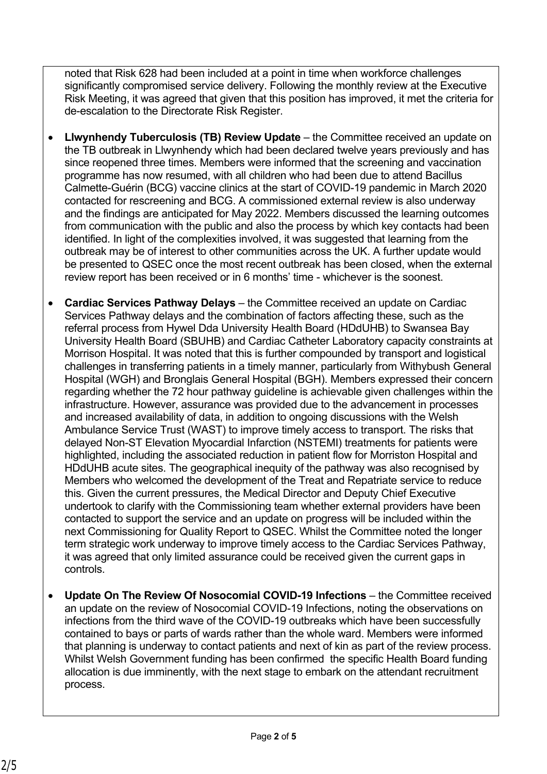noted that Risk 628 had been included at a point in time when workforce challenges significantly compromised service delivery. Following the monthly review at the Executive Risk Meeting, it was agreed that given that this position has improved, it met the criteria for de-escalation to the Directorate Risk Register.

- **Llwynhendy Tuberculosis (TB) Review Update**  the Committee received an update on the TB outbreak in Llwynhendy which had been declared twelve years previously and has since reopened three times. Members were informed that the screening and vaccination programme has now resumed, with all children who had been due to attend Bacillus Calmette-Guérin (BCG) vaccine clinics at the start of COVID-19 pandemic in March 2020 contacted for rescreening and BCG. A commissioned external review is also underway and the findings are anticipated for May 2022. Members discussed the learning outcomes from communication with the public and also the process by which key contacts had been identified. In light of the complexities involved, it was suggested that learning from the outbreak may be of interest to other communities across the UK. A further update would be presented to QSEC once the most recent outbreak has been closed, when the external review report has been received or in 6 months' time - whichever is the soonest.
- **Cardiac Services Pathway Delays** the Committee received an update on Cardiac Services Pathway delays and the combination of factors affecting these, such as the referral process from Hywel Dda University Health Board (HDdUHB) to Swansea Bay University Health Board (SBUHB) and Cardiac Catheter Laboratory capacity constraints at Morrison Hospital. It was noted that this is further compounded by transport and logistical challenges in transferring patients in a timely manner, particularly from Withybush General Hospital (WGH) and Bronglais General Hospital (BGH). Members expressed their concern regarding whether the 72 hour pathway guideline is achievable given challenges within the infrastructure. However, assurance was provided due to the advancement in processes and increased availability of data, in addition to ongoing discussions with the Welsh Ambulance Service Trust (WAST) to improve timely access to transport. The risks that delayed Non-ST Elevation Myocardial Infarction (NSTEMI) treatments for patients were highlighted, including the associated reduction in patient flow for Morriston Hospital and HDdUHB acute sites. The geographical inequity of the pathway was also recognised by Members who welcomed the development of the Treat and Repatriate service to reduce this. Given the current pressures, the Medical Director and Deputy Chief Executive undertook to clarify with the Commissioning team whether external providers have been contacted to support the service and an update on progress will be included within the next Commissioning for Quality Report to QSEC. Whilst the Committee noted the longer term strategic work underway to improve timely access to the Cardiac Services Pathway, it was agreed that only limited assurance could be received given the current gaps in controls.
- **Update On The Review Of Nosocomial COVID-19 Infections** the Committee received an update on the review of Nosocomial COVID-19 Infections, noting the observations on infections from the third wave of the COVID-19 outbreaks which have been successfully contained to bays or parts of wards rather than the whole ward. Members were informed that planning is underway to contact patients and next of kin as part of the review process. Whilst Welsh Government funding has been confirmed the specific Health Board funding allocation is due imminently, with the next stage to embark on the attendant recruitment process.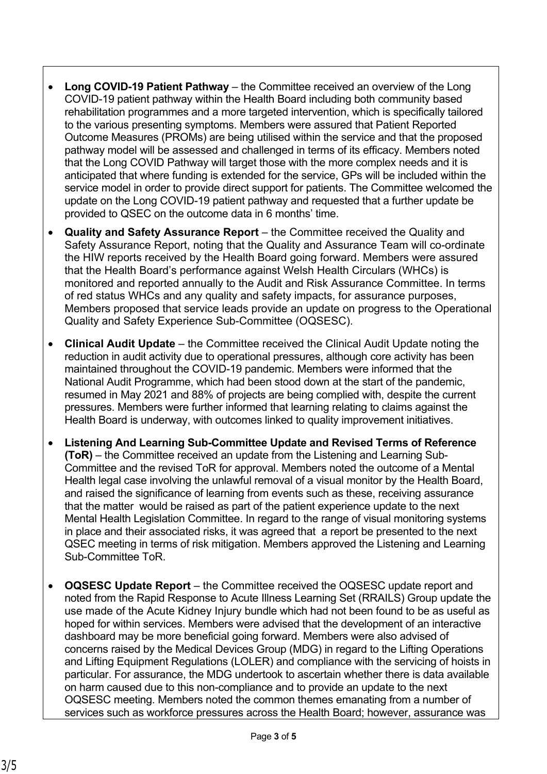- **Long COVID-19 Patient Pathway** the Committee received an overview of the Long COVID-19 patient pathway within the Health Board including both community based rehabilitation programmes and a more targeted intervention, which is specifically tailored to the various presenting symptoms. Members were assured that Patient Reported Outcome Measures (PROMs) are being utilised within the service and that the proposed pathway model will be assessed and challenged in terms of its efficacy. Members noted that the Long COVID Pathway will target those with the more complex needs and it is anticipated that where funding is extended for the service, GPs will be included within the service model in order to provide direct support for patients. The Committee welcomed the update on the Long COVID-19 patient pathway and requested that a further update be provided to QSEC on the outcome data in 6 months' time.
- **Quality and Safety Assurance Report**  the Committee received the Quality and Safety Assurance Report, noting that the Quality and Assurance Team will co-ordinate the HIW reports received by the Health Board going forward. Members were assured that the Health Board's performance against Welsh Health Circulars (WHCs) is monitored and reported annually to the Audit and Risk Assurance Committee. In terms of red status WHCs and any quality and safety impacts, for assurance purposes, Members proposed that service leads provide an update on progress to the Operational Quality and Safety Experience Sub-Committee (OQSESC).
- **Clinical Audit Update** the Committee received the Clinical Audit Update noting the reduction in audit activity due to operational pressures, although core activity has been maintained throughout the COVID-19 pandemic. Members were informed that the National Audit Programme, which had been stood down at the start of the pandemic, resumed in May 2021 and 88% of projects are being complied with, despite the current pressures. Members were further informed that learning relating to claims against the Health Board is underway, with outcomes linked to quality improvement initiatives.
- **Listening And Learning Sub-Committee Update and Revised Terms of Reference (ToR)** – the Committee received an update from the Listening and Learning Sub-Committee and the revised ToR for approval. Members noted the outcome of a Mental Health legal case involving the unlawful removal of a visual monitor by the Health Board, and raised the significance of learning from events such as these, receiving assurance that the matter would be raised as part of the patient experience update to the next Mental Health Legislation Committee. In regard to the range of visual monitoring systems in place and their associated risks, it was agreed that a report be presented to the next QSEC meeting in terms of risk mitigation. Members approved the Listening and Learning Sub-Committee ToR.
- **OQSESC Update Report**  the Committee received the OQSESC update report and noted from the Rapid Response to Acute Illness Learning Set (RRAILS) Group update the use made of the Acute Kidney Injury bundle which had not been found to be as useful as hoped for within services. Members were advised that the development of an interactive dashboard may be more beneficial going forward. Members were also advised of concerns raised by the Medical Devices Group (MDG) in regard to the Lifting Operations and Lifting Equipment Regulations (LOLER) and compliance with the servicing of hoists in particular. For assurance, the MDG undertook to ascertain whether there is data available on harm caused due to this non-compliance and to provide an update to the next OQSESC meeting. Members noted the common themes emanating from a number of services such as workforce pressures across the Health Board; however, assurance was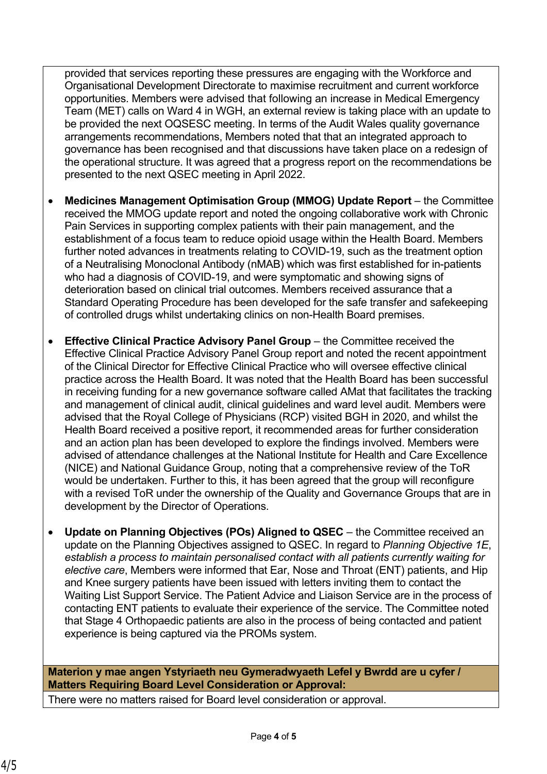provided that services reporting these pressures are engaging with the Workforce and Organisational Development Directorate to maximise recruitment and current workforce opportunities. Members were advised that following an increase in Medical Emergency Team (MET) calls on Ward 4 in WGH, an external review is taking place with an update to be provided the next OQSESC meeting. In terms of the Audit Wales quality governance arrangements recommendations, Members noted that that an integrated approach to governance has been recognised and that discussions have taken place on a redesign of the operational structure. It was agreed that a progress report on the recommendations be presented to the next QSEC meeting in April 2022.

- **Medicines Management Optimisation Group (MMOG) Update Report** the Committee received the MMOG update report and noted the ongoing collaborative work with Chronic Pain Services in supporting complex patients with their pain management, and the establishment of a focus team to reduce opioid usage within the Health Board. Members further noted advances in treatments relating to COVID-19, such as the treatment option of a Neutralising Monoclonal Antibody (nMAB) which was first established for in-patients who had a diagnosis of COVID-19, and were symptomatic and showing signs of deterioration based on clinical trial outcomes. Members received assurance that a Standard Operating Procedure has been developed for the safe transfer and safekeeping of controlled drugs whilst undertaking clinics on non-Health Board premises.
- **Effective Clinical Practice Advisory Panel Group** the Committee received the Effective Clinical Practice Advisory Panel Group report and noted the recent appointment of the Clinical Director for Effective Clinical Practice who will oversee effective clinical practice across the Health Board. It was noted that the Health Board has been successful in receiving funding for a new governance software called AMat that facilitates the tracking and management of clinical audit, clinical guidelines and ward level audit. Members were advised that the Royal College of Physicians (RCP) visited BGH in 2020, and whilst the Health Board received a positive report, it recommended areas for further consideration and an action plan has been developed to explore the findings involved. Members were advised of attendance challenges at the National Institute for Health and Care Excellence (NICE) and National Guidance Group, noting that a comprehensive review of the ToR would be undertaken. Further to this, it has been agreed that the group will reconfigure with a revised ToR under the ownership of the Quality and Governance Groups that are in development by the Director of Operations.
- **Update on Planning Objectives (POs) Aligned to QSEC**  the Committee received an update on the Planning Objectives assigned to QSEC. In regard to *Planning Objective 1E*, *establish a process to maintain personalised contact with all patients currently waiting for elective care*, Members were informed that Ear, Nose and Throat (ENT) patients, and Hip and Knee surgery patients have been issued with letters inviting them to contact the Waiting List Support Service. The Patient Advice and Liaison Service are in the process of contacting ENT patients to evaluate their experience of the service. The Committee noted that Stage 4 Orthopaedic patients are also in the process of being contacted and patient experience is being captured via the PROMs system.

**Materion y mae angen Ystyriaeth neu Gymeradwyaeth Lefel y Bwrdd are u cyfer / Matters Requiring Board Level Consideration or Approval:**

There were no matters raised for Board level consideration or approval.